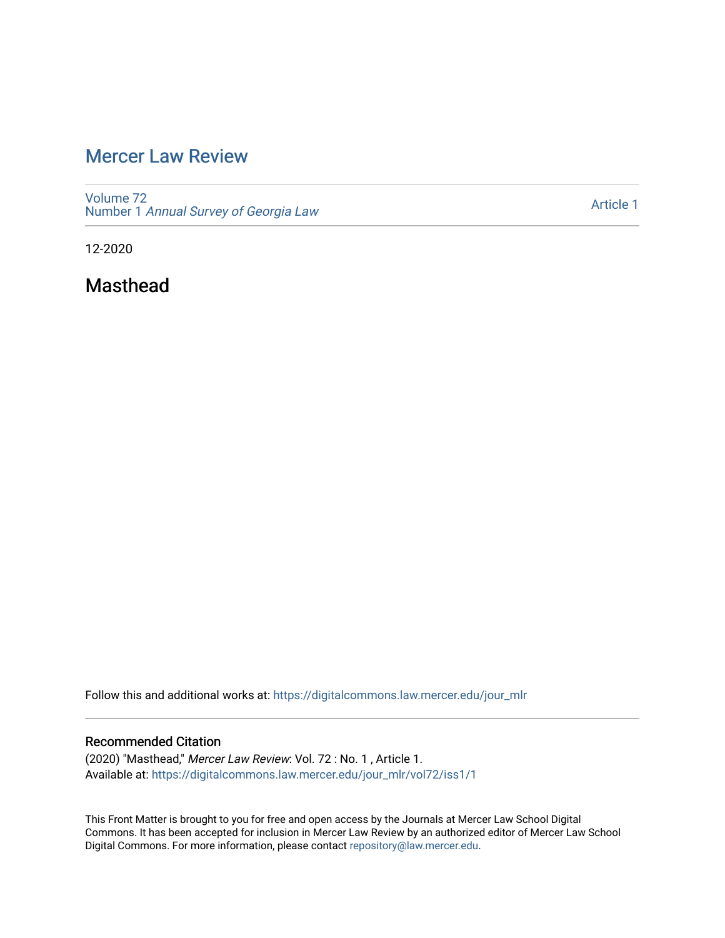# [Mercer Law Review](https://digitalcommons.law.mercer.edu/jour_mlr)

[Volume 72](https://digitalcommons.law.mercer.edu/jour_mlr/vol72) Number 1 [Annual Survey of Georgia Law](https://digitalcommons.law.mercer.edu/jour_mlr/vol72/iss1) 

[Article 1](https://digitalcommons.law.mercer.edu/jour_mlr/vol72/iss1/1) 

12-2020

Masthead

Follow this and additional works at: [https://digitalcommons.law.mercer.edu/jour\\_mlr](https://digitalcommons.law.mercer.edu/jour_mlr?utm_source=digitalcommons.law.mercer.edu%2Fjour_mlr%2Fvol72%2Fiss1%2F1&utm_medium=PDF&utm_campaign=PDFCoverPages)

## Recommended Citation

(2020) "Masthead," Mercer Law Review: Vol. 72 : No. 1 , Article 1. Available at: [https://digitalcommons.law.mercer.edu/jour\\_mlr/vol72/iss1/1](https://digitalcommons.law.mercer.edu/jour_mlr/vol72/iss1/1?utm_source=digitalcommons.law.mercer.edu%2Fjour_mlr%2Fvol72%2Fiss1%2F1&utm_medium=PDF&utm_campaign=PDFCoverPages)

This Front Matter is brought to you for free and open access by the Journals at Mercer Law School Digital Commons. It has been accepted for inclusion in Mercer Law Review by an authorized editor of Mercer Law School Digital Commons. For more information, please contact [repository@law.mercer.edu](mailto:repository@law.mercer.edu).